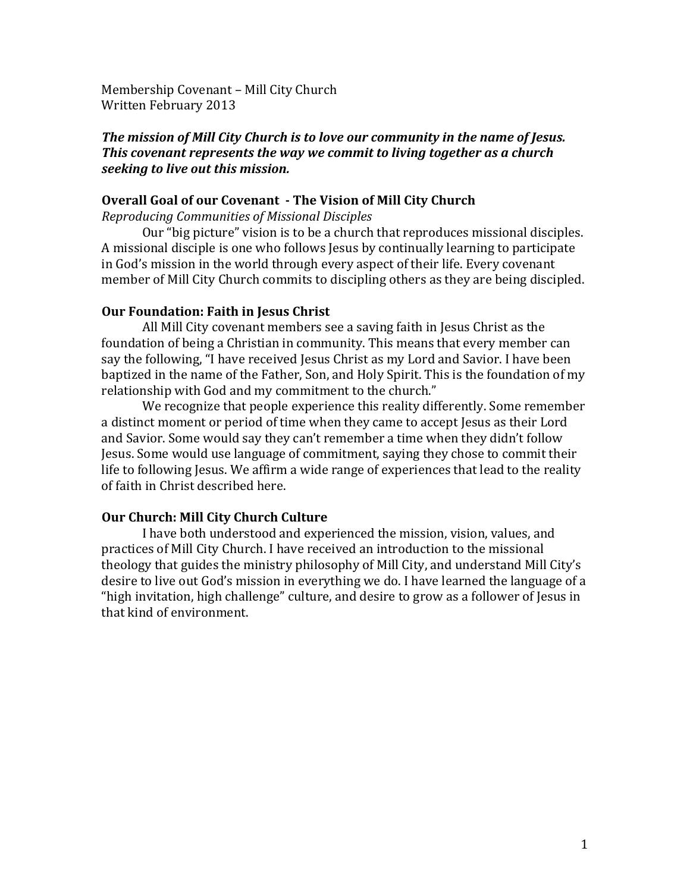Membership Covenant - Mill City Church Written February 2013

## *The mission of Mill City Church is to love our community in the name of Jesus. This covenant represents the way we commit to living together as a church seeking to live out this mission.*

## **Overall Goal of our Covenant - The Vision of Mill City Church**

*Reproducing Communities of Missional Disciples*

Our "big picture" vision is to be a church that reproduces missional disciples. A missional disciple is one who follows Jesus by continually learning to participate in God's mission in the world through every aspect of their life. Every covenant member of Mill City Church commits to discipling others as they are being discipled.

## **Our Foundation: Faith in Jesus Christ**

All Mill City covenant members see a saving faith in Jesus Christ as the foundation of being a Christian in community. This means that every member can say the following, "I have received Jesus Christ as my Lord and Savior. I have been baptized in the name of the Father, Son, and Holy Spirit. This is the foundation of my relationship with God and my commitment to the church."

We recognize that people experience this reality differently. Some remember a distinct moment or period of time when they came to accept Jesus as their Lord and Savior. Some would say they can't remember a time when they didn't follow Jesus. Some would use language of commitment, saying they chose to commit their life to following Jesus. We affirm a wide range of experiences that lead to the reality of faith in Christ described here.

## **Our Church: Mill City Church Culture**

I have both understood and experienced the mission, vision, values, and practices of Mill City Church. I have received an introduction to the missional theology that guides the ministry philosophy of Mill City, and understand Mill City's desire to live out God's mission in everything we do. I have learned the language of a "high invitation, high challenge" culture, and desire to grow as a follower of Jesus in that kind of environment.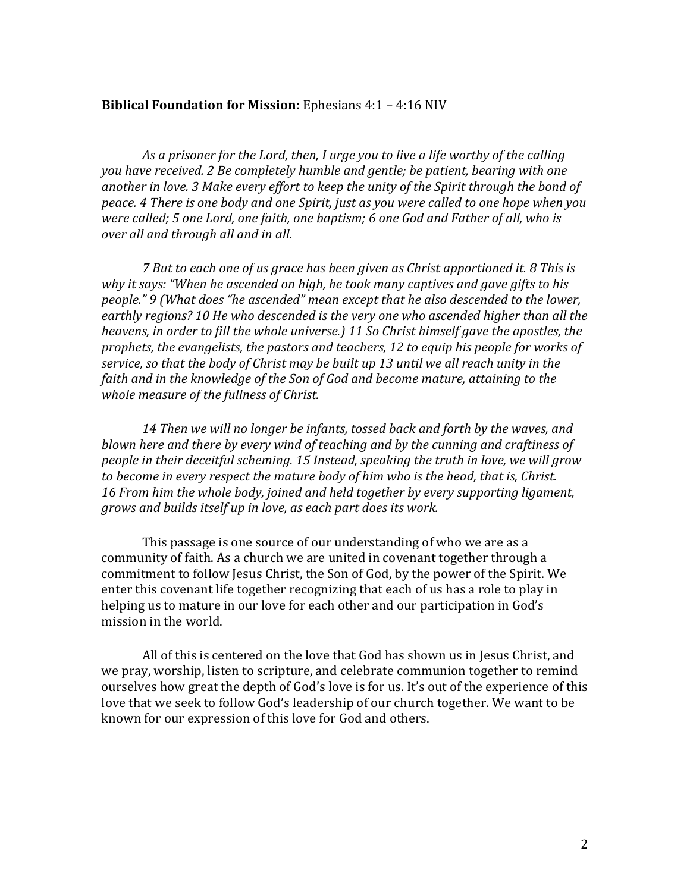## **Biblical Foundation for Mission:** Ephesians 4:1 - 4:16 NIV

As a prisoner for the Lord, then, I urge you to live a life worthy of the calling *you have received.* 2 *Be completely humble and gentle; be patient, bearing with one* another in love. 3 Make every effort to keep the unity of the Spirit through the bond of *peace.* 4 *There is one body and one Spirit, just as you were called to one hope when you were called;* 5 *one Lord, one faith, one baptism;* 6 *one God and Father of all, who is over all and through all and in all.* 

*7* But to each one of us grace has been given as Christ apportioned it. 8 This is *why* it says: "When he ascended on high, he took many captives and gave gifts to his *people."* 9 *(What does "he ascended" mean except that he also descended to the lower,* earthly regions? 10 He who descended is the very one who ascended higher than all the *heavens, in order to fill the whole universe.)* 11 So Christ himself gave the apostles, the prophets, the evangelists, the pastors and teachers, 12 to equip his people for works of service, so that the body of Christ may be built up 13 *until* we all reach unity in the *faith and in the knowledge of the Son of God and become mature, attaining to the whole measure of the fullness of Christ.* 

14 Then we will no longer be infants, tossed back and forth by the waves, and *blown here and there by every wind of teaching and by the cunning and craftiness of people in their deceitful scheming.* 15 *Instead, speaking the truth in love, we will grow to become in every respect the mature body of him who is the head, that is, Christ.* 16 *From him the whole body, joined and held together by every supporting ligament, grows and builds itself up in love, as each part does its work.* 

This passage is one source of our understanding of who we are as a community of faith. As a church we are united in covenant together through a commitment to follow Jesus Christ, the Son of God, by the power of the Spirit. We enter this covenant life together recognizing that each of us has a role to play in helping us to mature in our love for each other and our participation in God's mission in the world.

All of this is centered on the love that God has shown us in Jesus Christ, and we pray, worship, listen to scripture, and celebrate communion together to remind ourselves how great the depth of God's love is for us. It's out of the experience of this love that we seek to follow God's leadership of our church together. We want to be known for our expression of this love for God and others.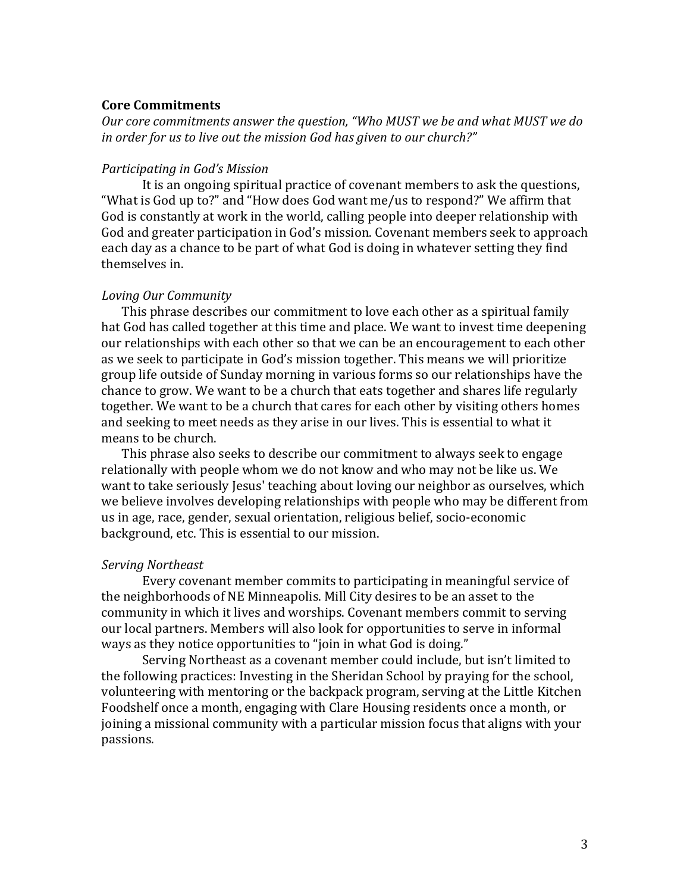## **Core Commitments**

Our core commitments answer the question, "Who MUST we be and what MUST we do in order for us to live out the mission God has given to our church?"

#### *Participating in God's Mission*

It is an ongoing spiritual practice of covenant members to ask the questions, "What is God up to?" and "How does God want me/us to respond?" We affirm that God is constantly at work in the world, calling people into deeper relationship with God and greater participation in God's mission. Covenant members seek to approach each day as a chance to be part of what God is doing in whatever setting they find themselves in.

#### *Loving Our Community*

This phrase describes our commitment to love each other as a spiritual family hat God has called together at this time and place. We want to invest time deepening our relationships with each other so that we can be an encouragement to each other as we seek to participate in God's mission together. This means we will prioritize group life outside of Sunday morning in various forms so our relationships have the chance to grow. We want to be a church that eats together and shares life regularly together. We want to be a church that cares for each other by visiting others homes and seeking to meet needs as they arise in our lives. This is essential to what it means to be church.

This phrase also seeks to describe our commitment to always seek to engage relationally with people whom we do not know and who may not be like us. We want to take seriously Jesus' teaching about loving our neighbor as ourselves, which we believe involves developing relationships with people who may be different from us in age, race, gender, sexual orientation, religious belief, socio-economic background, etc. This is essential to our mission.

#### *Serving Northeast*

Every covenant member commits to participating in meaningful service of the neighborhoods of NE Minneapolis. Mill City desires to be an asset to the community in which it lives and worships. Covenant members commit to serving our local partners. Members will also look for opportunities to serve in informal ways as they notice opportunities to "join in what God is doing."

Serving Northeast as a covenant member could include, but isn't limited to the following practices: Investing in the Sheridan School by praying for the school, volunteering with mentoring or the backpack program, serving at the Little Kitchen Foodshelf once a month, engaging with Clare Housing residents once a month, or joining a missional community with a particular mission focus that aligns with your passions.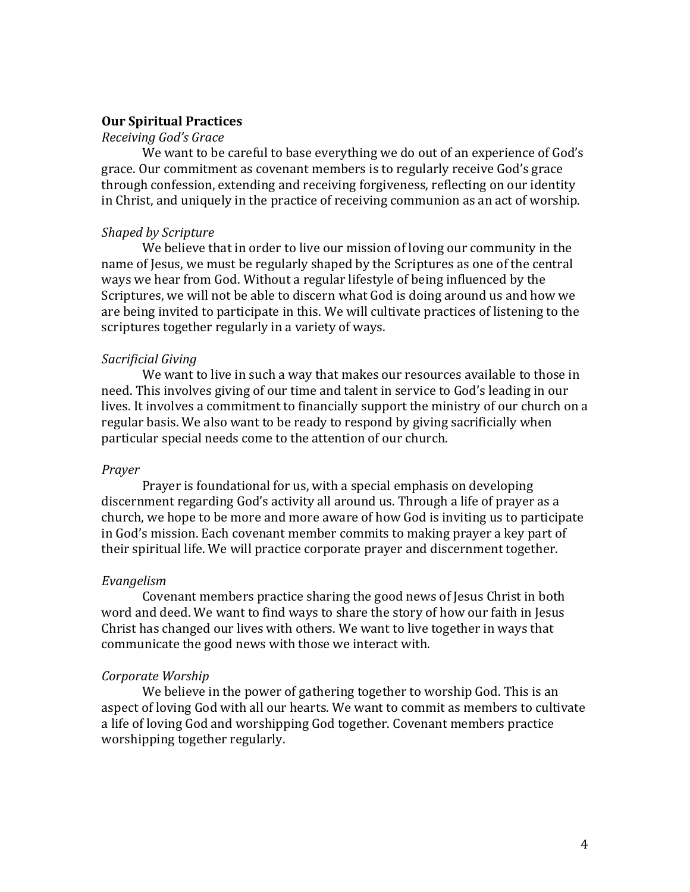#### **Our Spiritual Practices**

## *Receiving God's Grace*

We want to be careful to base everything we do out of an experience of God's grace. Our commitment as covenant members is to regularly receive God's grace through confession, extending and receiving forgiveness, reflecting on our identity in Christ, and uniquely in the practice of receiving communion as an act of worship.

#### *Shaped by Scripture*

We believe that in order to live our mission of loving our community in the name of Jesus, we must be regularly shaped by the Scriptures as one of the central ways we hear from God. Without a regular lifestyle of being influenced by the Scriptures, we will not be able to discern what God is doing around us and how we are being invited to participate in this. We will cultivate practices of listening to the scriptures together regularly in a variety of ways.

#### *Sacrificial Giving*

We want to live in such a way that makes our resources available to those in need. This involves giving of our time and talent in service to God's leading in our lives. It involves a commitment to financially support the ministry of our church on a regular basis. We also want to be ready to respond by giving sacrificially when particular special needs come to the attention of our church.

#### *Prayer*

Prayer is foundational for us, with a special emphasis on developing discernment regarding God's activity all around us. Through a life of prayer as a church, we hope to be more and more aware of how God is inviting us to participate in God's mission. Each covenant member commits to making prayer a key part of their spiritual life. We will practice corporate prayer and discernment together.

#### *Evangelism*

Covenant members practice sharing the good news of Jesus Christ in both word and deed. We want to find ways to share the story of how our faith in Jesus Christ has changed our lives with others. We want to live together in ways that communicate the good news with those we interact with.

#### *Corporate Worship*

We believe in the power of gathering together to worship God. This is an aspect of loving God with all our hearts. We want to commit as members to cultivate a life of loving God and worshipping God together. Covenant members practice worshipping together regularly.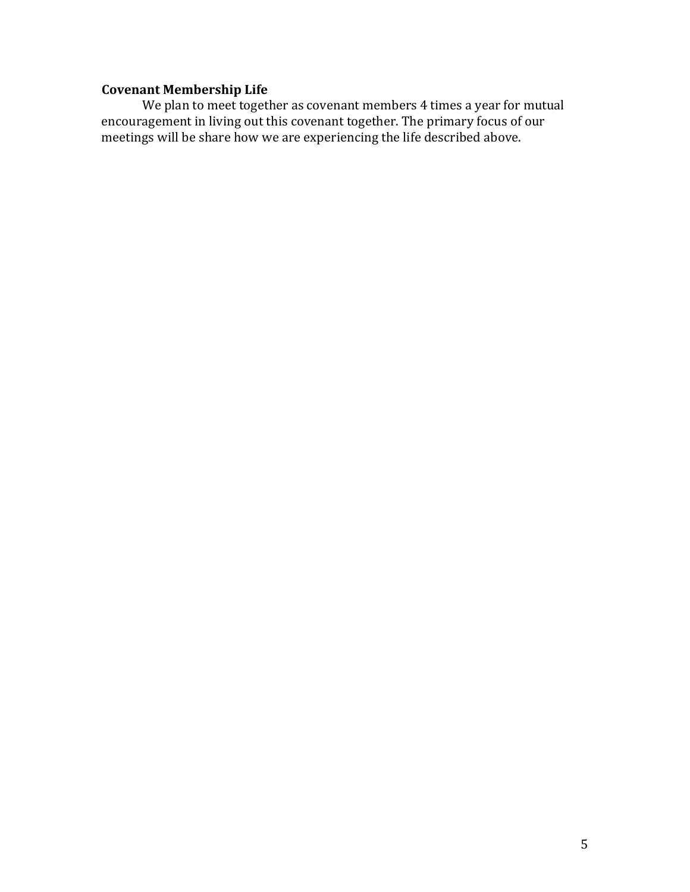## **Covenant Membership Life**

We plan to meet together as covenant members 4 times a year for mutual encouragement in living out this covenant together. The primary focus of our meetings will be share how we are experiencing the life described above.